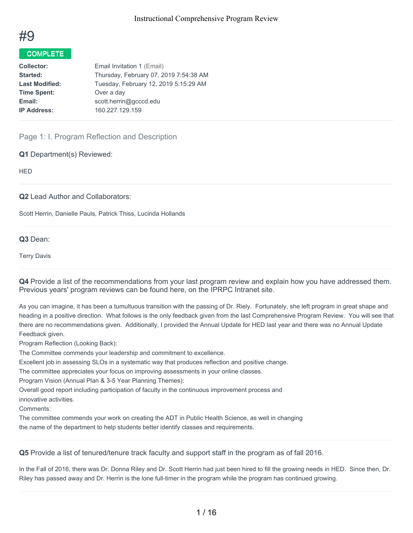

# COMPLETE

| <b>Collector:</b>     | Email Invitation 1 (Email)             |
|-----------------------|----------------------------------------|
| Started:              | Thursday, February 07, 2019 7:54:38 AM |
| <b>Last Modified:</b> | Tuesday, February 12, 2019 5:15:29 AM  |
| <b>Time Spent:</b>    | Over a day                             |
| Email:                | scott.herrin@gcccd.edu                 |
| <b>IP Address:</b>    | 160.227.129.159                        |
|                       |                                        |

Page 1: I. Program Reflection and Description

**Q1** Department(s) Reviewed:

**HED** 

**Q2** Lead Author and Collaborators:

Scott Herrin, Danielle Pauls, Patrick Thiss, Lucinda Hollands

**Q3** Dean:

Terry Davis

**Q4** Provide a list of the recommendations from your last program review and explain how you have addressed them. Previous years' program reviews can be found here, on the IPRPC Intranet site.

As you can imagine, it has been a tumultuous transition with the passing of Dr. Riely. Fortunately, she left program in great shape and heading in a positive direction. What follows is the only feedback given from the last Comprehensive Program Review. You will see that there are no recommendations given. Additionally, I provided the Annual Update for HED last year and there was no Annual Update Feedback given.

Program Reflection (Looking Back):

The Committee commends your leadership and commitment to excellence.

Excellent job in assessing SLOs in a systematic way that produces reflection and positive change.

The committee appreciates your focus on improving assessments in your online classes.

Program Vision (Annual Plan & 3-5 Year Planning Themes):

Overall good report including participation of faculty in the continuous improvement process and

innovative activities.

Comments:

The committee commends your work on creating the ADT in Public Health Science, as well in changing the name of the department to help students better identify classes and requirements.

**Q5** Provide a list of tenured/tenure track faculty and support staff in the program as of fall 2016.

In the Fall of 2016, there was Dr. Donna Riley and Dr. Scott Herrin had just been hired to fill the growing needs in HED. Since then, Dr. Riley has passed away and Dr. Herrin is the lone full-timer in the program while the program has continued growing.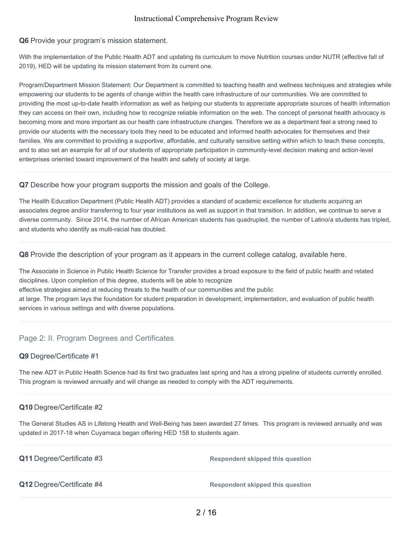# **Q6** Provide your program's mission statement.

With the implementation of the Public Health ADT and updating its curriculum to move Nutrition courses under NUTR (effective fall of 2019), HED will be updating its mission statement from its current one.

Program/Department Mission Statement: Our Department is committed to teaching health and wellness techniques and strategies while empowering our students to be agents of change within the health care infrastructure of our communities. We are committed to providing the most up-to-date health information as well as helping our students to appreciate appropriate sources of health information they can access on their own, including how to recognize reliable information on the web. The concept of personal health advocacy is becoming more and more important as our health care infrastructure changes. Therefore we as a department feel a strong need to provide our students with the necessary tools they need to be educated and informed health advocates for themselves and their families. We are committed to providing a supportive, affordable, and culturally sensitive setting within which to teach these concepts, and to also set an example for all of our students of appropriate participation in community-level decision making and action-level enterprises oriented toward improvement of the health and safety of society at large.

## **Q7** Describe how your program supports the mission and goals of the College.

The Health Education Department (Public Health ADT) provides a standard of academic excellence for students acquiring an associates degree and/or transferring to four year institutions as well as support in that transition. In addition, we continue to serve a diverse community. Since 2014, the number of African American students has quadrupled, the number of Latino/a students has tripled, and students who identify as multi-racial has doubled.

**Q8** Provide the description of your program as it appears in the current college catalog, available here.

The Associate in Science in Public Health Science for Transfer provides a broad exposure to the field of public health and related disciplines. Upon completion of this degree, students will be able to recognize effective strategies aimed at reducing threats to the health of our communities and the public at large. The program lays the foundation for student preparation in development, implementation, and evaluation of public health services in various settings and with diverse populations.

# Page 2: II. Program Degrees and Certificates

#### **Q9** Degree/Certificate #1

The new ADT in Public Health Science had its first two graduates last spring and has a strong pipeline of students currently enrolled. This program is reviewed annually and will change as needed to comply with the ADT requirements.

# **Q10** Degree/Certificate #2

The General Studies AS in Lifelong Health and Well-Being has been awarded 27 times. This program is reviewed annually and was updated in 2017-18 when Cuyamaca began offering HED 158 to students again.

| <b>Q11</b> Degree/Certificate #3 | Respondent skipped this question        |
|----------------------------------|-----------------------------------------|
| Q12 Degree/Certificate #4        | <b>Respondent skipped this question</b> |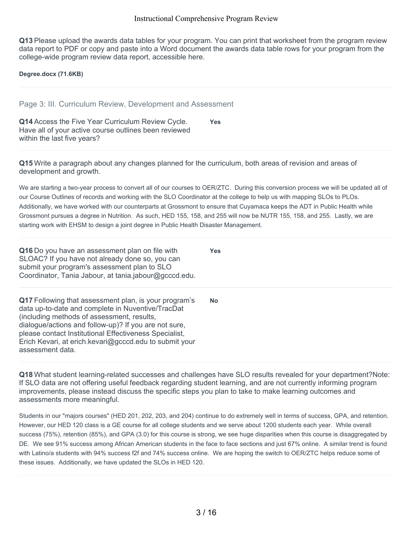**Q13** Please upload the awards data tables for your program. You can print that worksheet from the program review data report to PDF or copy and paste into a Word document the awards data table rows for your program from the college-wide program review data report, accessible here.

**Degree.docx (71.6KB)**

Page 3: III. Curriculum Review, Development and Assessment

**Q14** Access the Five Year Curriculum Review Cycle. Have all of your active course outlines been reviewed within the last five years? **Yes**

**Q15** Write a paragraph about any changes planned for the curriculum, both areas of revision and areas of development and growth.

We are starting a two-year process to convert all of our courses to OER/ZTC. During this conversion process we will be updated all of our Course Outlines of records and working with the SLO Coordinator at the college to help us with mapping SLOs to PLOs. Additionally, we have worked with our counterparts at Grossmont to ensure that Cuyamaca keeps the ADT in Public Health while Grossmont pursues a degree in Nutrition. As such, HED 155, 158, and 255 will now be NUTR 155, 158, and 255. Lastly, we are starting work with EHSM to design a joint degree in Public Health Disaster Management.

**Yes**

**Q16** Do you have an assessment plan on file with SLOAC? If you have not already done so, you can submit your program's assessment plan to SLO Coordinator, Tania Jabour, at tania.jabour@gcccd.edu.

**Q17** Following that assessment plan, is your program's data up-to-date and complete in Nuventive/TracDat (including methods of assessment, results, dialogue/actions and follow-up)? If you are not sure, please contact Institutional Effectiveness Specialist, Erich Kevari, at erich.kevari@gcccd.edu to submit your assessment data. **No**

**Q18** What student learning-related successes and challenges have SLO results revealed for your department?Note: If SLO data are not offering useful feedback regarding student learning, and are not currently informing program improvements, please instead discuss the specific steps you plan to take to make learning outcomes and assessments more meaningful.

Students in our "majors courses" (HED 201, 202, 203, and 204) continue to do extremely well in terms of success, GPA, and retention. However, our HED 120 class is a GE course for all college students and we serve about 1200 students each year. While overall success (75%), retention (85%), and GPA (3.0) for this course is strong, we see huge disparities when this course is disaggregated by DE. We see 91% success among African American students in the face to face sections and just 67% online. A similar trend is found with Latino/a students with 94% success f2f and 74% success online. We are hoping the switch to OER/ZTC helps reduce some of these issues. Additionally, we have updated the SLOs in HED 120.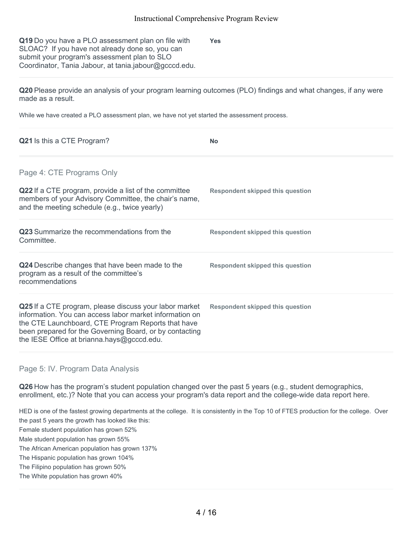**Q19** Do you have a PLO assessment plan on file with SLOAC? If you have not already done so, you can submit your program's assessment plan to SLO Coordinator, Tania Jabour, at tania.jabour@gcccd.edu. **Yes**

**Q20** Please provide an analysis of your program learning outcomes (PLO) findings and what changes, if any were made as a result.

While we have created a PLO assessment plan, we have not yet started the assessment process.

| <b>Q21</b> Is this a CTE Program?                                                                                                                                                                                                                                                | <b>No</b>                               |
|----------------------------------------------------------------------------------------------------------------------------------------------------------------------------------------------------------------------------------------------------------------------------------|-----------------------------------------|
| Page 4: CTE Programs Only                                                                                                                                                                                                                                                        |                                         |
| Q22 If a CTE program, provide a list of the committee<br>members of your Advisory Committee, the chair's name,<br>and the meeting schedule (e.g., twice yearly)                                                                                                                  | Respondent skipped this question        |
| <b>Q23</b> Summarize the recommendations from the<br>Committee.                                                                                                                                                                                                                  | <b>Respondent skipped this question</b> |
| Q24 Describe changes that have been made to the<br>program as a result of the committee's<br>recommendations                                                                                                                                                                     | Respondent skipped this question        |
| Q25 If a CTE program, please discuss your labor market<br>information. You can access labor market information on<br>the CTE Launchboard, CTE Program Reports that have<br>been prepared for the Governing Board, or by contacting<br>the IESE Office at brianna.hays@gcccd.edu. | Respondent skipped this question        |

Page 5: IV. Program Data Analysis

**Q26** How has the program's student population changed over the past 5 years (e.g., student demographics, enrollment, etc.)? Note that you can access your program's data report and the college-wide data report here.

HED is one of the fastest growing departments at the college. It is consistently in the Top 10 of FTES production for the college. Over the past 5 years the growth has looked like this: Female student population has grown 52% Male student population has grown 55% The African American population has grown 137% The Hispanic population has grown 104%

The Filipino population has grown 50%

The White population has grown 40%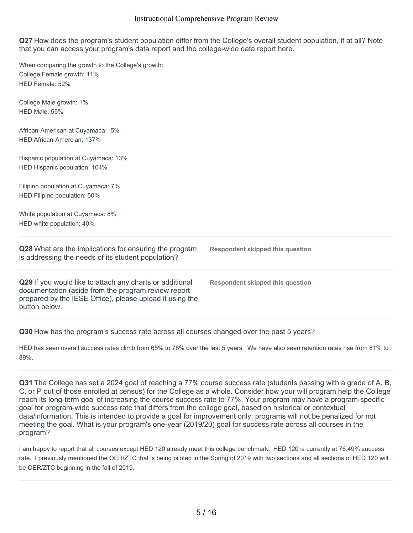**Q27** How does the program's student population differ from the College's overall student population, if at all? Note that you can access your program's data report and the college-wide data report here.

When comparing the growth to the College's growth: College Female growth: 11% HED Female: 52% College Male growth: 1% HED Male: 55% African-American at Cuyamaca: -5% HED African-Amercian: 137% Hispanic population at Cuyamaca: 13% HED Hispanic population: 104% Filipino population at Cuyamaca: 7% HED Filipino population: 50% White population at Cuyamaca: 8% HED white population: 40% **Q28** What are the implications for ensuring the program is addressing the needs of its student population? **Respondent skipped this question Q29** If you would like to attach any charts or additional documentation (aside from the program review report prepared by the IESE Office), please upload it using the button below. **Respondent skipped this question**

**Q30** How has the program's success rate across all courses changed over the past 5 years?

HED has seen overall success rates climb from 65% to 78% over the last 5 years. We have also seen retention rates rise from 81% to 89%.

**Q31** The College has set a 2024 goal of reaching a 77% course success rate (students passing with a grade of A, B, C, or P out of those enrolled at census) for the College as a whole. Consider how your will program help the College reach its long-term goal of increasing the course success rate to 77%. Your program may have a program-specific goal for program-wide success rate that differs from the college goal, based on historical or contextual data/information. This is intended to provide a goal for improvement only; programs will not be penalized for not meeting the goal. What is your program's one-year (2019/20) goal for success rate across all courses in the program?

I am happy to report that all courses except HED 120 already meet this college benchmark. HED 120 is currently at 76.49% success rate. I previously mentioned the OER/ZTC that is being piloted in the Spring of 2019 with two sections and all sections of HED 120 will be OER/ZTC beginning in the fall of 2019.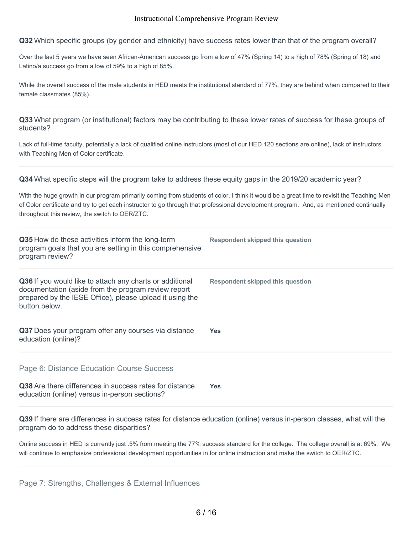**Q32** Which specific groups (by gender and ethnicity) have success rates lower than that of the program overall?

Over the last 5 years we have seen African-American success go from a low of 47% (Spring 14) to a high of 78% (Spring of 18) and Latino/a success go from a low of 59% to a high of 85%.

While the overall success of the male students in HED meets the institutional standard of 77%, they are behind when compared to their female classmates (85%).

**Q33** What program (or institutional) factors may be contributing to these lower rates of success for these groups of students?

Lack of full-time faculty, potentially a lack of qualified online instructors (most of our HED 120 sections are online), lack of instructors with Teaching Men of Color certificate.

**Q34** What specific steps will the program take to address these equity gaps in the 2019/20 academic year?

With the huge growth in our program primarily coming from students of color, I think it would be a great time to revisit the Teaching Men of Color certificate and try to get each instructor to go through that professional development program. And, as mentioned continually throughout this review, the switch to OER/ZTC.

| Q35 How do these activities inform the long-term<br>program goals that you are setting in this comprehensive<br>program review?                                                              | Respondent skipped this question        |
|----------------------------------------------------------------------------------------------------------------------------------------------------------------------------------------------|-----------------------------------------|
| Q36 If you would like to attach any charts or additional<br>documentation (aside from the program review report<br>prepared by the IESE Office), please upload it using the<br>button below. | <b>Respondent skipped this question</b> |
| Q37 Does your program offer any courses via distance<br>education (online)?                                                                                                                  | <b>Yes</b>                              |
| Page 6: Distance Education Course Success                                                                                                                                                    |                                         |
| Q38 Are there differences in success rates for distance<br>education (online) versus in-person sections?                                                                                     | <b>Yes</b>                              |

**Q39** If there are differences in success rates for distance education (online) versus in-person classes, what will the program do to address these disparities?

Online success in HED is currently just .5% from meeting the 77% success standard for the college. The college overall is at 69%. We will continue to emphasize professional development opportunities in for online instruction and make the switch to OER/ZTC.

Page 7: Strengths, Challenges & External Influences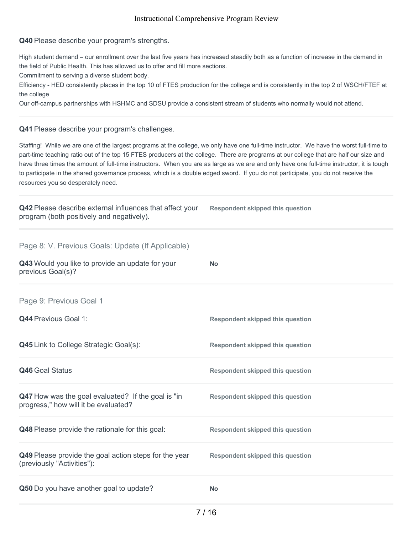**Q40** Please describe your program's strengths.

High student demand – our enrollment over the last five years has increased steadily both as a function of increase in the demand in the field of Public Health. This has allowed us to offer and fill more sections.

Commitment to serving a diverse student body.

Efficiency - HED consistently places in the top 10 of FTES production for the college and is consistently in the top 2 of WSCH/FTEF at the college

Our off-campus partnerships with HSHMC and SDSU provide a consistent stream of students who normally would not attend.

### **Q41** Please describe your program's challenges.

Staffing! While we are one of the largest programs at the college, we only have one full-time instructor. We have the worst full-time to part-time teaching ratio out of the top 15 FTES producers at the college. There are programs at our college that are half our size and have three times the amount of full-time instructors. When you are as large as we are and only have one full-time instructor, it is tough to participate in the shared governance process, which is a double edged sword. If you do not participate, you do not receive the resources you so desperately need.

| Q42 Please describe external influences that affect your<br>program (both positively and negatively). | <b>Respondent skipped this question</b> |
|-------------------------------------------------------------------------------------------------------|-----------------------------------------|
| Page 8: V. Previous Goals: Update (If Applicable)                                                     |                                         |
| Q43 Would you like to provide an update for your<br>previous Goal(s)?                                 | <b>No</b>                               |
| Page 9: Previous Goal 1                                                                               |                                         |
| <b>Q44 Previous Goal 1:</b>                                                                           | <b>Respondent skipped this question</b> |
| <b>Q45</b> Link to College Strategic Goal(s):                                                         | <b>Respondent skipped this question</b> |
| Q46 Goal Status                                                                                       | <b>Respondent skipped this question</b> |
| Q47 How was the goal evaluated? If the goal is "in<br>progress," how will it be evaluated?            | <b>Respondent skipped this question</b> |
| Q48 Please provide the rationale for this goal:                                                       | <b>Respondent skipped this question</b> |
| Q49 Please provide the goal action steps for the year<br>(previously "Activities"):                   | <b>Respondent skipped this question</b> |
| Q50 Do you have another goal to update?                                                               | <b>No</b>                               |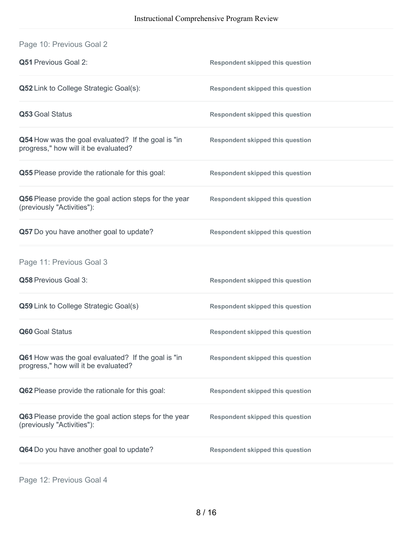| <b>Q51 Previous Goal 2:</b>                                                                       | <b>Respondent skipped this question</b> |
|---------------------------------------------------------------------------------------------------|-----------------------------------------|
| Q52 Link to College Strategic Goal(s):                                                            | <b>Respondent skipped this question</b> |
| Q53 Goal Status                                                                                   | <b>Respondent skipped this question</b> |
| Q54 How was the goal evaluated? If the goal is "in<br>progress," how will it be evaluated?        | <b>Respondent skipped this question</b> |
| Q55 Please provide the rationale for this goal:                                                   | <b>Respondent skipped this question</b> |
| Q56 Please provide the goal action steps for the year<br>(previously "Activities"):               | <b>Respondent skipped this question</b> |
| Q57 Do you have another goal to update?                                                           | <b>Respondent skipped this question</b> |
| Page 11: Previous Goal 3                                                                          |                                         |
| Q58 Previous Goal 3:                                                                              | <b>Respondent skipped this question</b> |
| Q59 Link to College Strategic Goal(s)                                                             | <b>Respondent skipped this question</b> |
| Q60 Goal Status                                                                                   | <b>Respondent skipped this question</b> |
| <b>Q61</b> How was the goal evaluated? If the goal is "in<br>progress," how will it be evaluated? | <b>Respondent skipped this question</b> |
| Q62 Please provide the rationale for this goal:                                                   | <b>Respondent skipped this question</b> |
| Q63 Please provide the goal action steps for the year<br>(previously "Activities"):               | <b>Respondent skipped this question</b> |
| Q64 Do you have another goal to update?                                                           | <b>Respondent skipped this question</b> |

Page 12: Previous Goal 4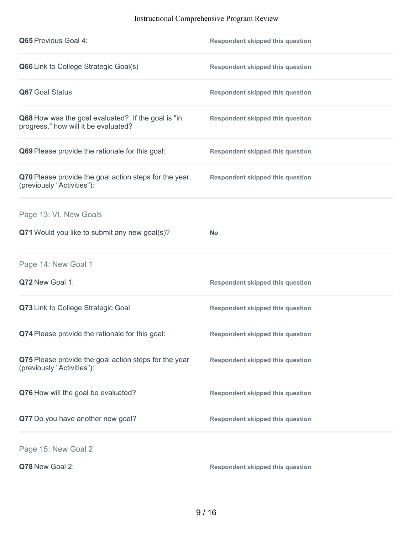| <b>Q65</b> Previous Goal 4:                                                                | <b>Respondent skipped this question</b> |
|--------------------------------------------------------------------------------------------|-----------------------------------------|
| Q66 Link to College Strategic Goal(s)                                                      | <b>Respondent skipped this question</b> |
| Q67 Goal Status                                                                            | <b>Respondent skipped this question</b> |
| Q68 How was the goal evaluated? If the goal is "in<br>progress," how will it be evaluated? | <b>Respondent skipped this question</b> |
| Q69 Please provide the rationale for this goal:                                            | <b>Respondent skipped this question</b> |
| Q70 Please provide the goal action steps for the year<br>(previously "Activities"):        | <b>Respondent skipped this question</b> |
| Page 13: VI. New Goals                                                                     |                                         |
| Q71 Would you like to submit any new goal(s)?                                              | <b>No</b>                               |
| Page 14: New Goal 1                                                                        |                                         |
| Q72 New Goal 1:                                                                            | <b>Respondent skipped this question</b> |
|                                                                                            |                                         |
| Q73 Link to College Strategic Goal                                                         | <b>Respondent skipped this question</b> |
| Q74 Please provide the rationale for this goal:                                            | <b>Respondent skipped this question</b> |
| Q75 Please provide the goal action steps for the year<br>(previously "Activities"):        | <b>Respondent skipped this question</b> |
| Q76 How will the goal be evaluated?                                                        | <b>Respondent skipped this question</b> |
| Q77 Do you have another new goal?                                                          | <b>Respondent skipped this question</b> |
| Page 15: New Goal 2                                                                        |                                         |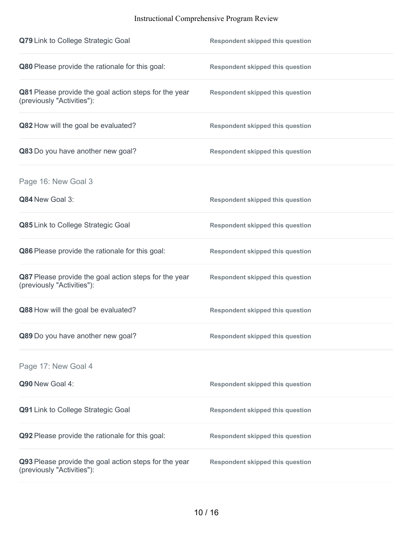| Q79 Link to College Strategic Goal                                                  | <b>Respondent skipped this question</b> |
|-------------------------------------------------------------------------------------|-----------------------------------------|
| Q80 Please provide the rationale for this goal:                                     | <b>Respondent skipped this question</b> |
| Q81 Please provide the goal action steps for the year<br>(previously "Activities"): | <b>Respondent skipped this question</b> |
| Q82 How will the goal be evaluated?                                                 | <b>Respondent skipped this question</b> |
| Q83 Do you have another new goal?                                                   | <b>Respondent skipped this question</b> |
| Page 16: New Goal 3                                                                 |                                         |
| Q84 New Goal 3:                                                                     | <b>Respondent skipped this question</b> |
| Q85 Link to College Strategic Goal                                                  | <b>Respondent skipped this question</b> |
| Q86 Please provide the rationale for this goal:                                     | <b>Respondent skipped this question</b> |
| Q87 Please provide the goal action steps for the year<br>(previously "Activities"): | <b>Respondent skipped this question</b> |
| Q88 How will the goal be evaluated?                                                 | <b>Respondent skipped this question</b> |
| Q89 Do you have another new goal?                                                   | <b>Respondent skipped this question</b> |
| Page 17: New Goal 4                                                                 |                                         |
| Q90 New Goal 4:                                                                     | <b>Respondent skipped this question</b> |
| Q91 Link to College Strategic Goal                                                  | <b>Respondent skipped this question</b> |
| Q92 Please provide the rationale for this goal:                                     | <b>Respondent skipped this question</b> |
| Q93 Please provide the goal action steps for the year<br>(previously "Activities"): | <b>Respondent skipped this question</b> |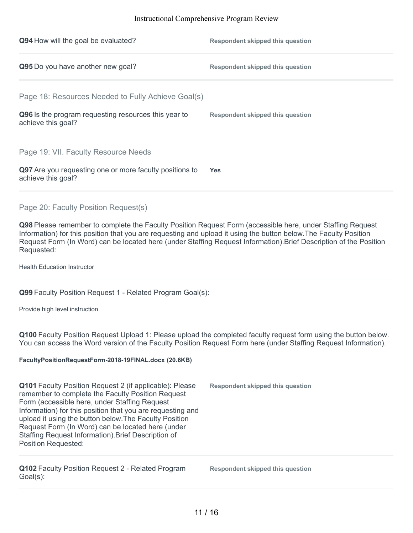| Q94 How will the goal be evaluated?                                           | <b>Respondent skipped this question</b> |
|-------------------------------------------------------------------------------|-----------------------------------------|
| Q95 Do you have another new goal?                                             | <b>Respondent skipped this question</b> |
| Page 18: Resources Needed to Fully Achieve Goal(s)                            |                                         |
| Q96 Is the program requesting resources this year to<br>achieve this goal?    | <b>Respondent skipped this question</b> |
| Page 19: VII. Faculty Resource Needs                                          |                                         |
| Q97 Are you requesting one or more faculty positions to<br>achieve this goal? | <b>Yes</b>                              |
| Page 20: Faculty Position Request(s)                                          |                                         |

**Q98** Please remember to complete the Faculty Position Request Form (accessible here, under Staffing Request Information) for this position that you are requesting and upload it using the button below.The Faculty Position Request Form (In Word) can be located here (under Staffing Request Information).Brief Description of the Position Requested:

Health Education Instructor

**Q99** Faculty Position Request 1 - Related Program Goal(s):

Provide high level instruction

**Q100** Faculty Position Request Upload 1: Please upload the completed faculty request form using the button below. You can access the Word version of the Faculty Position Request Form here (under Staffing Request Information).

#### **FacultyPositionRequestForm-2018-19FINAL.docx (20.6KB)**

**Q101** Faculty Position Request 2 (if applicable): Please remember to complete the Faculty Position Request Form (accessible here, under Staffing Request Information) for this position that you are requesting and upload it using the button below.The Faculty Position Request Form (In Word) can be located here (under Staffing Request Information).Brief Description of Position Requested: **Respondent skipped this question**

**Q102** Faculty Position Request 2 - Related Program Goal(s):

**Respondent skipped this question**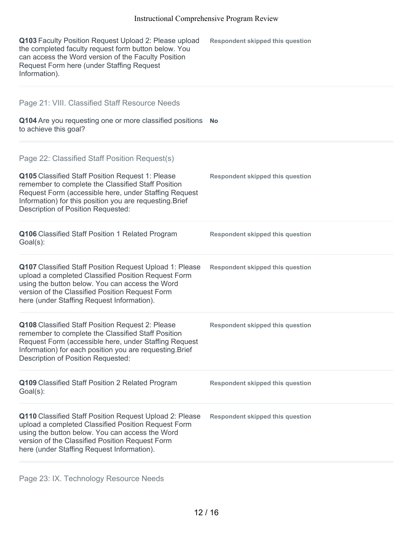| Q103 Faculty Position Request Upload 2: Please upload<br>the completed faculty request form button below. You<br>can access the Word version of the Faculty Position<br>Request Form here (under Staffing Request<br>Information).                                                                                        | <b>Respondent skipped this question</b> |
|---------------------------------------------------------------------------------------------------------------------------------------------------------------------------------------------------------------------------------------------------------------------------------------------------------------------------|-----------------------------------------|
| Page 21: VIII. Classified Staff Resource Needs<br>Q104 Are you requesting one or more classified positions<br>to achieve this goal?                                                                                                                                                                                       | <b>No</b>                               |
| Page 22: Classified Staff Position Request(s)<br>Q105 Classified Staff Position Request 1: Please<br>remember to complete the Classified Staff Position<br>Request Form (accessible here, under Staffing Request<br>Information) for this position you are requesting. Brief<br><b>Description of Position Requested:</b> | <b>Respondent skipped this question</b> |
| Q106 Classified Staff Position 1 Related Program<br>Goal(s):                                                                                                                                                                                                                                                              | <b>Respondent skipped this question</b> |
| Q107 Classified Staff Position Request Upload 1: Please<br>upload a completed Classified Position Request Form<br>using the button below. You can access the Word<br>version of the Classified Position Request Form<br>here (under Staffing Request Information).                                                        | <b>Respondent skipped this question</b> |
| Q108 Classified Staff Position Request 2: Please<br>remember to complete the Classified Staff Position<br>Request Form (accessible here, under Staffing Request<br>Information) for each position you are requesting. Brief<br><b>Description of Position Requested:</b>                                                  | <b>Respondent skipped this question</b> |
| Q109 Classified Staff Position 2 Related Program<br>$Goal(s)$ :                                                                                                                                                                                                                                                           | <b>Respondent skipped this question</b> |
| Q110 Classified Staff Position Request Upload 2: Please<br>upload a completed Classified Position Request Form<br>using the button below. You can access the Word<br>version of the Classified Position Request Form<br>here (under Staffing Request Information).                                                        | <b>Respondent skipped this question</b> |

Page 23: IX. Technology Resource Needs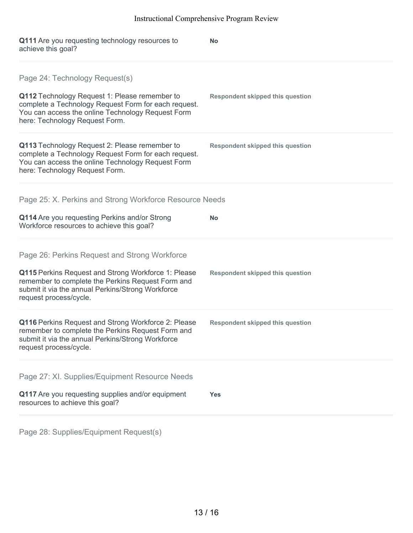| Q111 Are you requesting technology resources to<br>achieve this goal?                                                                                                                        | <b>No</b>                               |
|----------------------------------------------------------------------------------------------------------------------------------------------------------------------------------------------|-----------------------------------------|
| Page 24: Technology Request(s)<br>Q112 Technology Request 1: Please remember to                                                                                                              | <b>Respondent skipped this question</b> |
| complete a Technology Request Form for each request.<br>You can access the online Technology Request Form<br>here: Technology Request Form.                                                  |                                         |
| Q113 Technology Request 2: Please remember to<br>complete a Technology Request Form for each request.<br>You can access the online Technology Request Form<br>here: Technology Request Form. | <b>Respondent skipped this question</b> |
| Page 25: X. Perkins and Strong Workforce Resource Needs                                                                                                                                      |                                         |
| Q114 Are you requesting Perkins and/or Strong<br>Workforce resources to achieve this goal?                                                                                                   | <b>No</b>                               |
| Page 26: Perkins Request and Strong Workforce                                                                                                                                                |                                         |
| Q115 Perkins Request and Strong Workforce 1: Please<br>remember to complete the Perkins Request Form and<br>submit it via the annual Perkins/Strong Workforce<br>request process/cycle.      | <b>Respondent skipped this question</b> |
| Q116 Perkins Request and Strong Workforce 2: Please<br>remember to complete the Perkins Request Form and<br>submit it via the annual Perkins/Strong Workforce<br>request process/cycle.      | <b>Respondent skipped this question</b> |
| Page 27: XI. Supplies/Equipment Resource Needs                                                                                                                                               |                                         |
| Q117 Are you requesting supplies and/or equipment<br>resources to achieve this goal?                                                                                                         | Yes                                     |
|                                                                                                                                                                                              |                                         |

Page 28: Supplies/Equipment Request(s)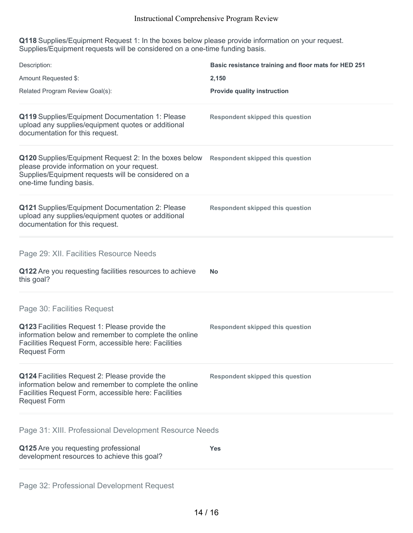**Q118** Supplies/Equipment Request 1: In the boxes below please provide information on your request. Supplies/Equipment requests will be considered on a one-time funding basis.

| Description:<br>Amount Requested \$:                                                                                                                                                                                 | Basic resistance training and floor mats for HED 251<br>2,150 |
|----------------------------------------------------------------------------------------------------------------------------------------------------------------------------------------------------------------------|---------------------------------------------------------------|
| Related Program Review Goal(s):                                                                                                                                                                                      | <b>Provide quality instruction</b>                            |
| Q119 Supplies/Equipment Documentation 1: Please<br>upload any supplies/equipment quotes or additional<br>documentation for this request.                                                                             | <b>Respondent skipped this question</b>                       |
| Q120 Supplies/Equipment Request 2: In the boxes below<br>please provide information on your request.<br>Supplies/Equipment requests will be considered on a<br>one-time funding basis.                               | <b>Respondent skipped this question</b>                       |
| Q121 Supplies/Equipment Documentation 2: Please<br>upload any supplies/equipment quotes or additional<br>documentation for this request.                                                                             | <b>Respondent skipped this question</b>                       |
| Page 29: XII. Facilities Resource Needs<br>Q122 Are you requesting facilities resources to achieve<br>this goal?                                                                                                     | <b>No</b>                                                     |
|                                                                                                                                                                                                                      |                                                               |
| Page 30: Facilities Request<br>Q123 Facilities Request 1: Please provide the<br>information below and remember to complete the online<br>Facilities Request Form, accessible here: Facilities<br><b>Request Form</b> | <b>Respondent skipped this question</b>                       |
| Q124 Facilities Request 2: Please provide the<br>information below and remember to complete the online<br>Facilities Request Form, accessible here: Facilities<br><b>Request Form</b>                                | <b>Respondent skipped this question</b>                       |
| Page 31: XIII. Professional Development Resource Needs                                                                                                                                                               |                                                               |
| Q125 Are you requesting professional<br>development resources to achieve this goal?                                                                                                                                  | <b>Yes</b>                                                    |
|                                                                                                                                                                                                                      |                                                               |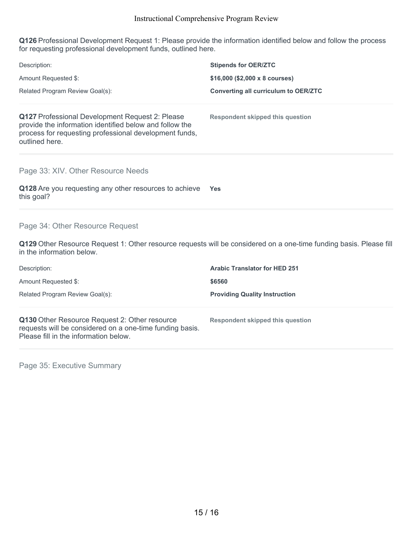**Q126** Professional Development Request 1: Please provide the information identified below and follow the process for requesting professional development funds, outlined here.

| Description:                                                                                                                                                                           | <b>Stipends for OER/ZTC</b>                                                                                        |
|----------------------------------------------------------------------------------------------------------------------------------------------------------------------------------------|--------------------------------------------------------------------------------------------------------------------|
| Amount Requested \$:                                                                                                                                                                   | \$16,000 (\$2,000 x 8 courses)                                                                                     |
| Related Program Review Goal(s):                                                                                                                                                        | <b>Converting all curriculum to OER/ZTC</b>                                                                        |
| Q127 Professional Development Request 2: Please<br>provide the information identified below and follow the<br>process for requesting professional development funds,<br>outlined here. | <b>Respondent skipped this question</b>                                                                            |
| Page 33: XIV. Other Resource Needs                                                                                                                                                     |                                                                                                                    |
| Q128 Are you requesting any other resources to achieve<br>this goal?                                                                                                                   | Yes                                                                                                                |
| Page 34: Other Resource Request                                                                                                                                                        |                                                                                                                    |
| in the information below.                                                                                                                                                              | Q129 Other Resource Request 1: Other resource requests will be considered on a one-time funding basis. Please fill |
| Description:                                                                                                                                                                           | <b>Arabic Translator for HED 251</b>                                                                               |
| Amount Requested \$:                                                                                                                                                                   | \$6560                                                                                                             |
| Related Program Review Goal(s):                                                                                                                                                        | <b>Providing Quality Instruction</b>                                                                               |
| Q130 Other Resource Request 2: Other resource<br>requests will be considered on a one-time funding basis.<br>Please fill in the information below.                                     | <b>Respondent skipped this question</b>                                                                            |

Page 35: Executive Summary